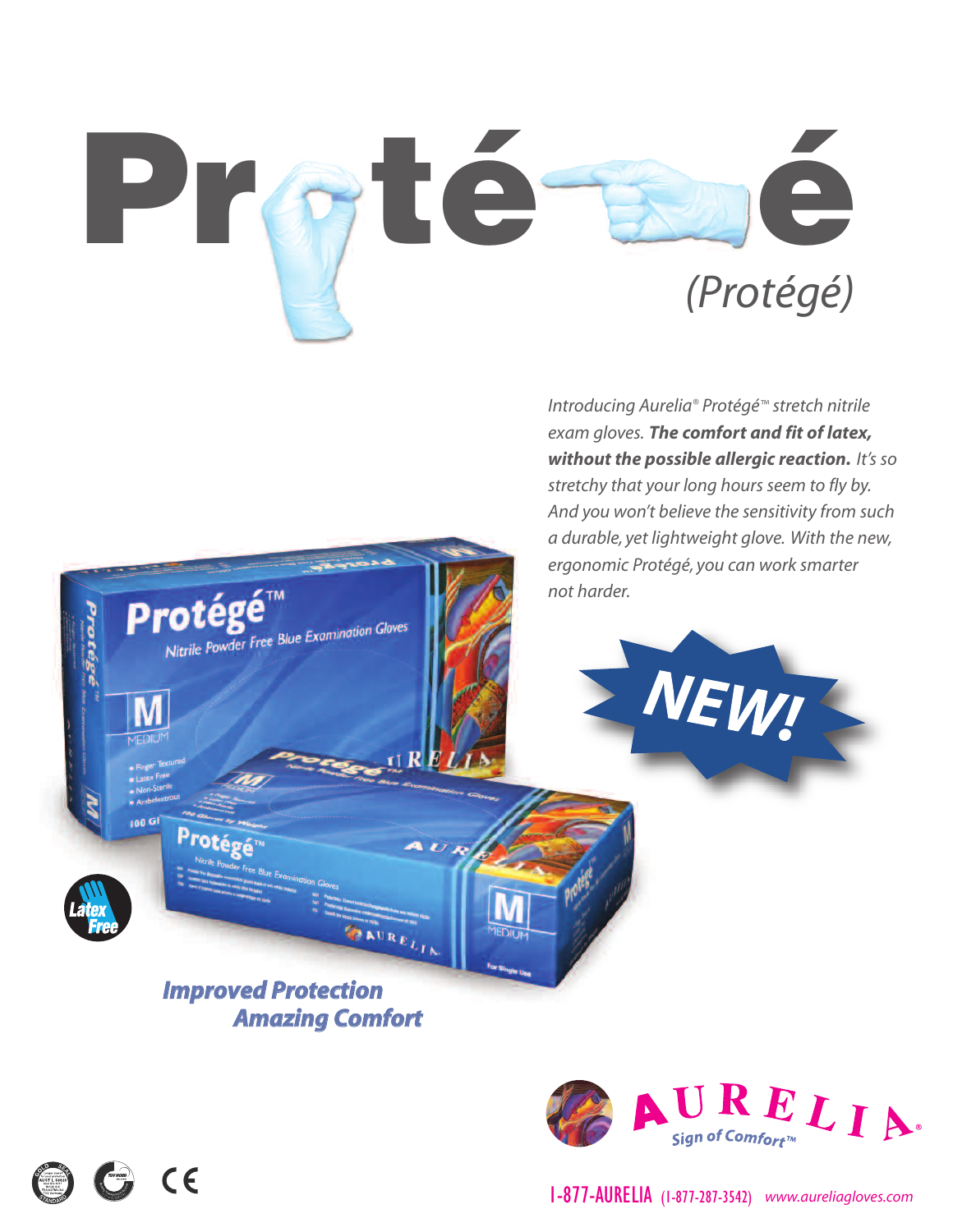

 $\Pi$  R  $EI$ 

**AUR** 

 $\begin{array}{c} \begin{array}{c} \mathbf{A} \cup \mathbf{R} \\ \mathbf{E} \end{array} \\ \begin{array}{c} \mathbf{A} \cup \mathbf{R} \\ \mathbf{E} \end{array} \\ \begin{array}{c} \mathbf{A} \end{array} \end{array}$ 

*Introducing Aurelia® Protégé™ stretch nitrile exam gloves. The comfort and fit of latex, without the possible allergic reaction. It's so stretchy that your long hours seem to fly by. And you won't believe the sensitivity from such a durable, yet lightweight glove. With the new, ergonomic Protégé, you can work smarter not harder.*

NEW!

*Improved Protection Amazing Comfort*

Nitrile Powder Free Blue Examination Gloves

Protégé™

Protégé<sup>®</sup>

ino G

 $\odot$  CE



1-877-AURELIA (1-877-287-3542) *www.aureliagloves.com*